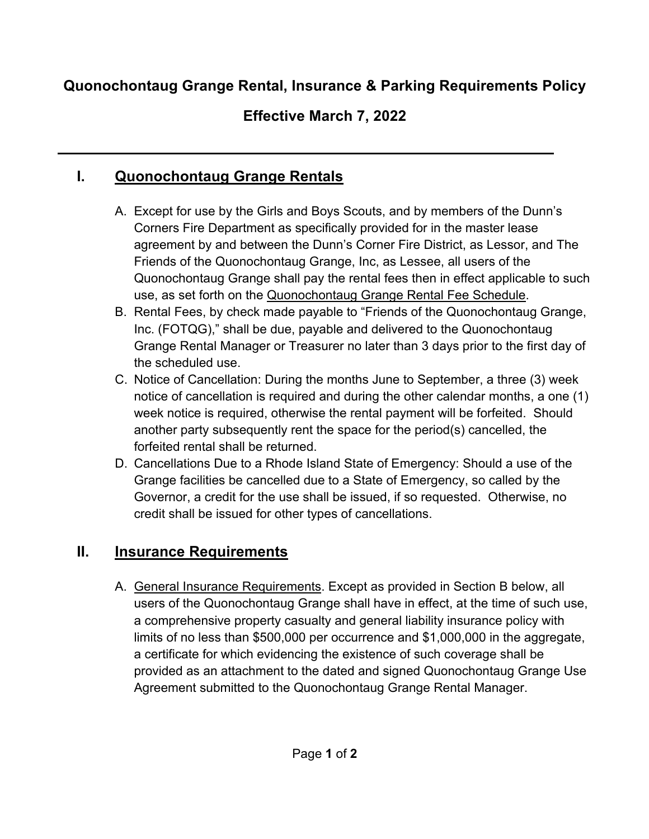### **Quonochontaug Grange Rental, Insurance & Parking Requirements Policy**

# **Effective March 7, 2022**

# **I. Quonochontaug Grange Rentals**

- A. Except for use by the Girls and Boys Scouts, and by members of the Dunn's Corners Fire Department as specifically provided for in the master lease agreement by and between the Dunn's Corner Fire District, as Lessor, and The Friends of the Quonochontaug Grange, Inc, as Lessee, all users of the Quonochontaug Grange shall pay the rental fees then in effect applicable to such use, as set forth on the Quonochontaug Grange Rental Fee Schedule.
- B. Rental Fees, by check made payable to "Friends of the Quonochontaug Grange, Inc. (FOTQG)," shall be due, payable and delivered to the Quonochontaug Grange Rental Manager or Treasurer no later than 3 days prior to the first day of the scheduled use.
- C. Notice of Cancellation: During the months June to September, a three (3) week notice of cancellation is required and during the other calendar months, a one (1) week notice is required, otherwise the rental payment will be forfeited. Should another party subsequently rent the space for the period(s) cancelled, the forfeited rental shall be returned.
- D. Cancellations Due to a Rhode Island State of Emergency: Should a use of the Grange facilities be cancelled due to a State of Emergency, so called by the Governor, a credit for the use shall be issued, if so requested. Otherwise, no credit shall be issued for other types of cancellations.

#### **II. Insurance Requirements**

A. General Insurance Requirements. Except as provided in Section B below, all users of the Quonochontaug Grange shall have in effect, at the time of such use, a comprehensive property casualty and general liability insurance policy with limits of no less than \$500,000 per occurrence and \$1,000,000 in the aggregate, a certificate for which evidencing the existence of such coverage shall be provided as an attachment to the dated and signed Quonochontaug Grange Use Agreement submitted to the Quonochontaug Grange Rental Manager.